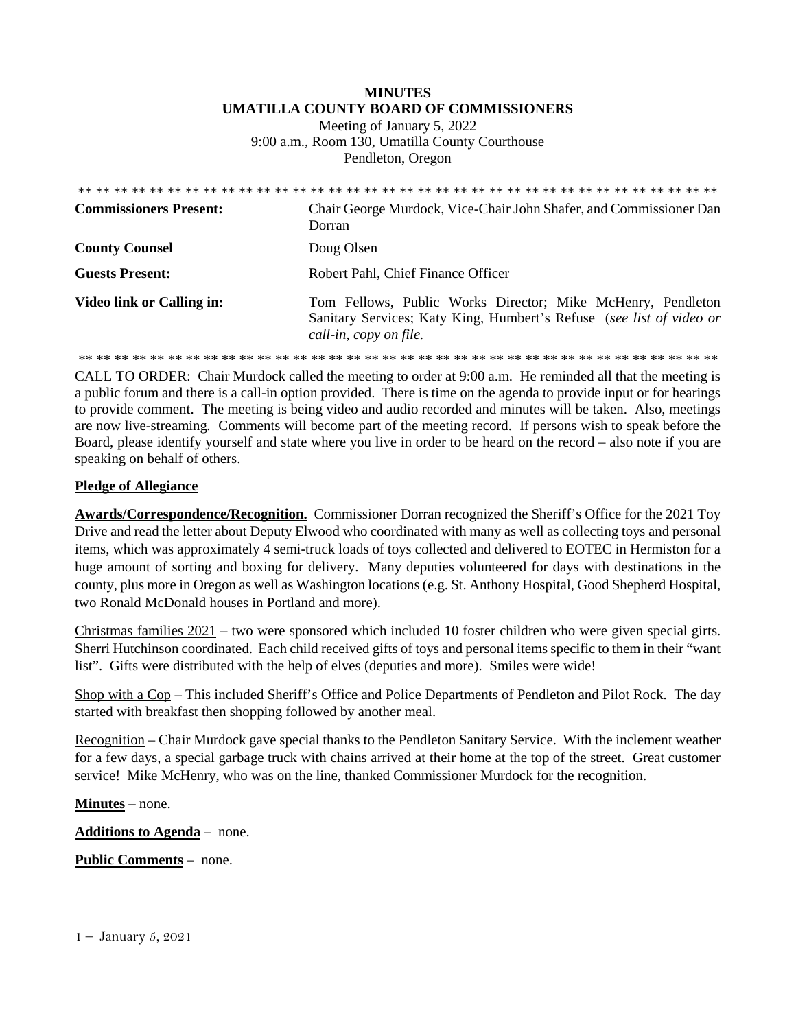# **MINUTES UMATILLA COUNTY BOARD OF COMMISSIONERS**

Meeting of January 5, 2022 9:00 a.m., Room 130, Umatilla County Courthouse Pendleton, Oregon

| <b>Commissioners Present:</b> | Chair George Murdock, Vice-Chair John Shafer, and Commissioner Dan<br>Dorran                                                                                  |
|-------------------------------|---------------------------------------------------------------------------------------------------------------------------------------------------------------|
| <b>County Counsel</b>         | Doug Olsen                                                                                                                                                    |
| <b>Guests Present:</b>        | Robert Pahl, Chief Finance Officer                                                                                                                            |
| Video link or Calling in:     | Tom Fellows, Public Works Director; Mike McHenry, Pendleton<br>Sanitary Services; Katy King, Humbert's Refuse (see list of video or<br>call-in, copy on file. |
|                               |                                                                                                                                                               |

CALL TO ORDER: Chair Murdock called the meeting to order at 9:00 a.m. He reminded all that the meeting is a public forum and there is a call-in option provided. There is time on the agenda to provide input or for hearings to provide comment. The meeting is being video and audio recorded and minutes will be taken. Also, meetings are now live-streaming*.* Comments will become part of the meeting record. If persons wish to speak before the Board, please identify yourself and state where you live in order to be heard on the record – also note if you are speaking on behalf of others.

### **Pledge of Allegiance**

**Awards/Correspondence/Recognition.** Commissioner Dorran recognized the Sheriff's Office for the 2021 Toy Drive and read the letter about Deputy Elwood who coordinated with many as well as collecting toys and personal items, which was approximately 4 semi-truck loads of toys collected and delivered to EOTEC in Hermiston for a huge amount of sorting and boxing for delivery. Many deputies volunteered for days with destinations in the county, plus more in Oregon as well as Washington locations (e.g. St. Anthony Hospital, Good Shepherd Hospital, two Ronald McDonald houses in Portland and more).

Christmas families 2021 – two were sponsored which included 10 foster children who were given special girts. Sherri Hutchinson coordinated. Each child received gifts of toys and personal items specific to them in their "want list". Gifts were distributed with the help of elves (deputies and more). Smiles were wide!

Shop with a Cop – This included Sheriff's Office and Police Departments of Pendleton and Pilot Rock. The day started with breakfast then shopping followed by another meal.

Recognition – Chair Murdock gave special thanks to the Pendleton Sanitary Service. With the inclement weather for a few days, a special garbage truck with chains arrived at their home at the top of the street. Great customer service! Mike McHenry, who was on the line, thanked Commissioner Murdock for the recognition.

**Minutes –** none.

**Additions to Agenda** – none.

**Public Comments** – none.

1 – January 5, 2021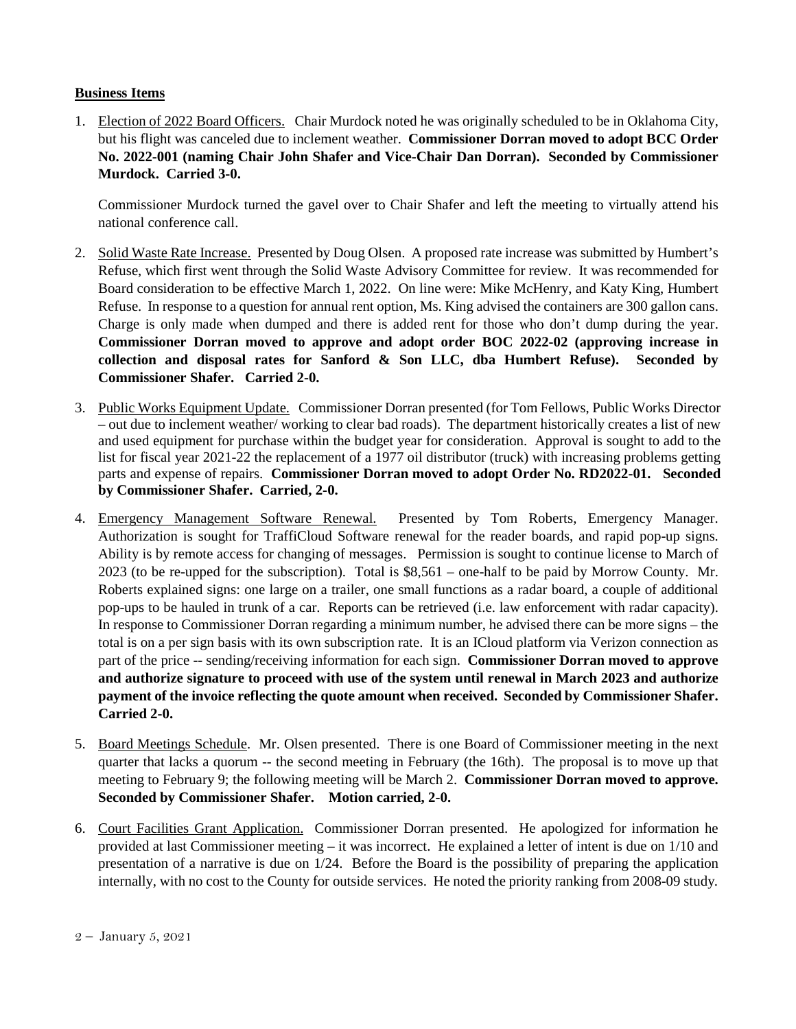## **Business Items**

1. Election of 2022 Board Officers. Chair Murdock noted he was originally scheduled to be in Oklahoma City, but his flight was canceled due to inclement weather. **Commissioner Dorran moved to adopt BCC Order No. 2022-001 (naming Chair John Shafer and Vice-Chair Dan Dorran). Seconded by Commissioner Murdock. Carried 3-0.**

Commissioner Murdock turned the gavel over to Chair Shafer and left the meeting to virtually attend his national conference call.

- 2. Solid Waste Rate Increase. Presented by Doug Olsen. A proposed rate increase was submitted by Humbert's Refuse, which first went through the Solid Waste Advisory Committee for review. It was recommended for Board consideration to be effective March 1, 2022. On line were: Mike McHenry, and Katy King, Humbert Refuse. In response to a question for annual rent option, Ms. King advised the containers are 300 gallon cans. Charge is only made when dumped and there is added rent for those who don't dump during the year. **Commissioner Dorran moved to approve and adopt order BOC 2022-02 (approving increase in collection and disposal rates for Sanford & Son LLC, dba Humbert Refuse). Seconded by Commissioner Shafer. Carried 2-0.**
- 3. Public Works Equipment Update. Commissioner Dorran presented (for Tom Fellows, Public Works Director – out due to inclement weather/ working to clear bad roads). The department historically creates a list of new and used equipment for purchase within the budget year for consideration. Approval is sought to add to the list for fiscal year 2021-22 the replacement of a 1977 oil distributor (truck) with increasing problems getting parts and expense of repairs. **Commissioner Dorran moved to adopt Order No. RD2022-01. Seconded by Commissioner Shafer. Carried, 2-0.**
- 4. Emergency Management Software Renewal. Presented by Tom Roberts, Emergency Manager. Authorization is sought for TraffiCloud Software renewal for the reader boards, and rapid pop-up signs. Ability is by remote access for changing of messages. Permission is sought to continue license to March of 2023 (to be re-upped for the subscription). Total is \$8,561 – one-half to be paid by Morrow County. Mr. Roberts explained signs: one large on a trailer, one small functions as a radar board, a couple of additional pop-ups to be hauled in trunk of a car. Reports can be retrieved (i.e. law enforcement with radar capacity). In response to Commissioner Dorran regarding a minimum number, he advised there can be more signs – the total is on a per sign basis with its own subscription rate. It is an ICloud platform via Verizon connection as part of the price -- sending/receiving information for each sign. **Commissioner Dorran moved to approve and authorize signature to proceed with use of the system until renewal in March 2023 and authorize payment of the invoice reflecting the quote amount when received. Seconded by Commissioner Shafer. Carried 2-0.**
- 5. Board Meetings Schedule. Mr. Olsen presented. There is one Board of Commissioner meeting in the next quarter that lacks a quorum -- the second meeting in February (the 16th). The proposal is to move up that meeting to February 9; the following meeting will be March 2. **Commissioner Dorran moved to approve. Seconded by Commissioner Shafer. Motion carried, 2-0.**
- 6. Court Facilities Grant Application. Commissioner Dorran presented. He apologized for information he provided at last Commissioner meeting – it was incorrect. He explained a letter of intent is due on 1/10 and presentation of a narrative is due on 1/24. Before the Board is the possibility of preparing the application internally, with no cost to the County for outside services. He noted the priority ranking from 2008-09 study*.*